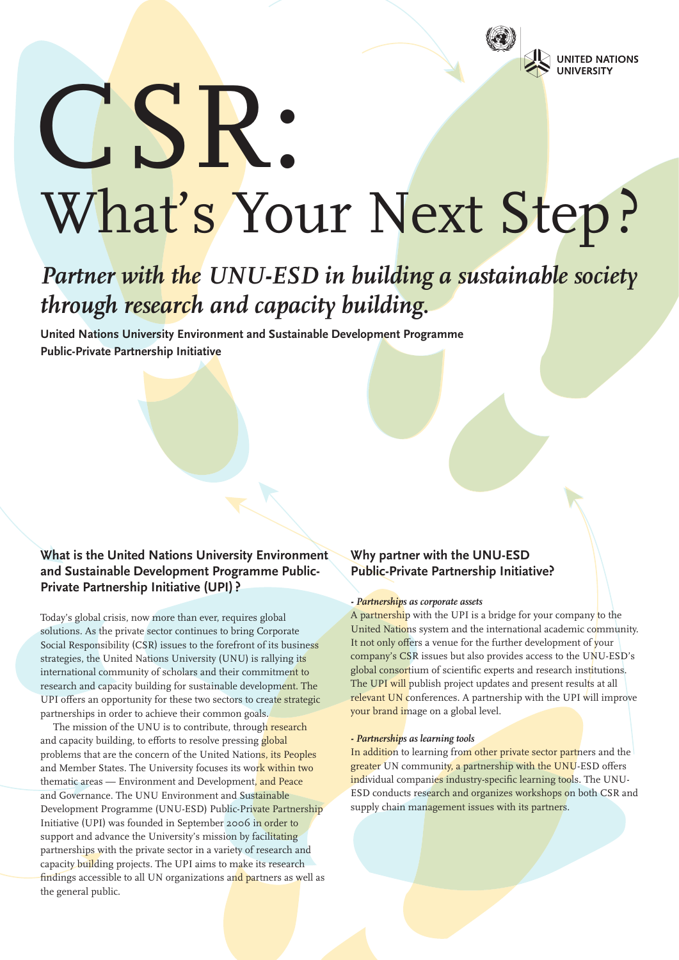

# CSR: What's Your Next Step?

## *Partner with the UNU-ESD in building a sustainable society through research and capacity building.*

**United Nations University Environment and Sustainable Development Programme Public-Private Partnership Initiative**

#### **What is the United Nations University Environment and Sustainable Development Programme Public-Private Partnership Initiative (UPI) ?**

Today's global crisis, now more than ever, requires global solutions. As the private sector continues to bring Corporate Social Responsibility (CSR) issues to the forefront of its business strategies, the United Nations University (UNU) is rallying its international community of scholars and their commitment to research and capacity building for sustainable development. The UPI offers an opportunity for these two sectors to create strategic partnerships in order to achieve their common goals.

The mission of the UNU is to contribute, through research and capacity building, to efforts to resolve pressing global problems that are the concern of the United Nations, its Peoples and Member States. The University focuses its work within two thematic areas — Environment and Development, and Peace and Governance. The UNU Environment and Sustainable Development Programme (UNU-ESD) Public-Private Partnership Initiative (UPI) was founded in September 2006 in order to support and advance the University's mission by facilitating partnerships with the private sector in a variety of research and capacity building projects. The UPI aims to make its research findings accessible to all UN organizations and partners as well as the general public.

#### **Why partner with the UNU-ESD Public-Private Partnership Initiative?**

#### *- Partnerships as corporate assets*

A partnership with the UPI is a bridge for your company to the United Nations system and the international academic community. It not only offers a venue for the further development of your company's CSR issues but also provides access to the UNU-ESD's global consortium of scientific experts and research institutions. The UPI will publish project updates and present results at all relevant UN conferences. A partnership with the UPI will improve your brand image on a global level.

#### *- Partnerships as learning tools*

In addition to learning from other private sector partners and the greater UN community, a partnership with the UNU-ESD offers individual companies industry-specific learning tools. The UNU-ESD conducts research and organizes workshops on both CSR and supply chain management issues with its partners.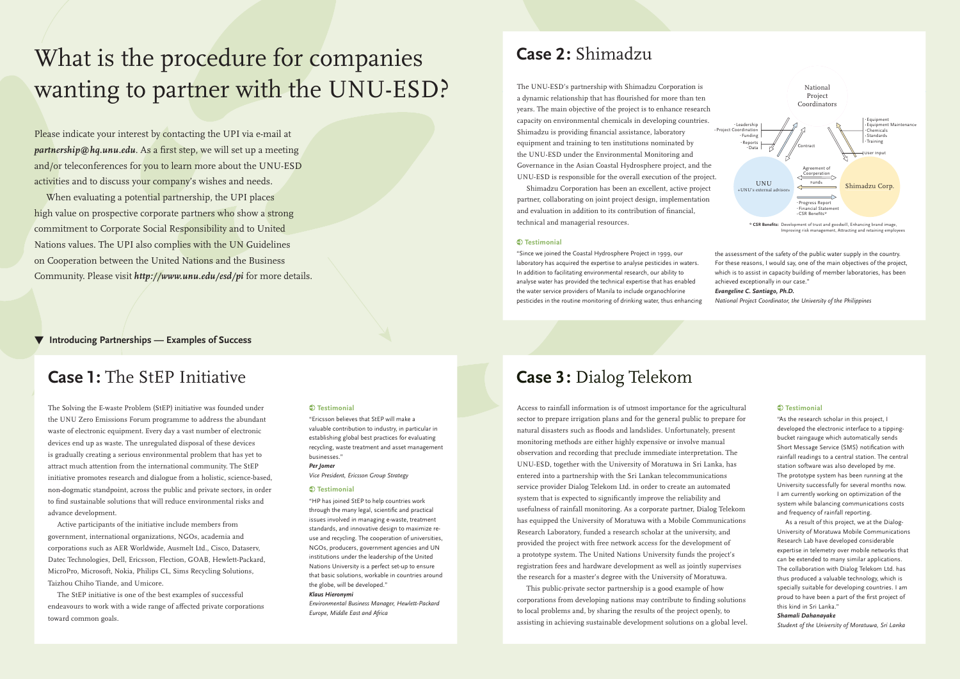The UNU-ESD's partnership with Shimadzu Corporation is a dynamic relationship that has flourished for more than ten years. The main objective of the project is to enhance research capacity on environmental chemicals in developing countries. Shimadzu is providing financial assistance, laboratory equipment and training to ten institutions nominated by the UNU-ESD under the Environmental Monitoring and Governance in the Asian Coastal Hydrosphere project, and the UNU-ESD is responsible for the overall execution of the project.

 Shimadzu Corporation has been an excellent, active project partner, collaborating on joint project design, implementation and evaluation in addition to its contribution of financial, technical and managerial resources.

#### $\bullet$  Testimonial

## What is the procedure for companies wanting to partner with the UNU-ESD?

▼ **Introducing Partnerships — Examples of Success**

Please indicate your interest by contacting the UPI via e-mail at *partnership@hq.unu.edu.* As a first step, we will set up a meeting and/or teleconferences for you to learn more about the UNU-ESD activities and to discuss your company's wishes and needs.

 When evaluating a potential partnership, the UPI places high value on prospective corporate partners who show a strong commitment to Corporate Social Responsibility and to United Nations values. The UPI also complies with the UN Guidelines on Cooperation between the United Nations and the Business Community. Please visit *http://www.unu.edu/esd/pi* for more details.

"Since we joined the Coastal Hydrosphere Project in 1999, our laboratory has acquired the expertise to analyse pesticides in waters. In addition to facilitating environmental research, our ability to analyse water has provided the technical expertise that has enabled the water service providers of Manila to include organochlorine pesticides in the routine monitoring of drinking water, thus enhancing

the assessment of the safety of the public water supply in the country. For these reasons, I would say, one of the main objectives of the project, which is to assist in capacity building of member laboratories, has been achieved exceptionally in our case."

#### *Evangeline C. Santiago, Ph.D.*

*National Project Coordinator, the University of the Philippines*



Improving risk management, Attracting and retaining employee

The Solving the E-waste Problem (StEP) initiative was founded under the UNU Zero Emissions Forum programme to address the abundant waste of electronic equipment. Every day a vast number of electronic devices end up as waste. The unregulated disposal of these devices is gradually creating a serious environmental problem that has yet to attract much attention from the international community. The StEP initiative promotes research and dialogue from a holistic, science-based, non-dogmatic standpoint, across the public and private sectors, in order to find sustainable solutions that will reduce environmental risks and advance development.

 Active participants of the initiative include members from government, international organizations, NGOs, academia and corporations such as AER Worldwide, Ausmelt Ltd., Cisco, Dataserv, Datec Technologies, Dell, Ericsson, Flection, GOAB, Hewlett-Packard, MicroPro, Microsoft, Nokia, Philips CL, Sims Recycling Solutions, Taizhou Chiho Tiande, and Umicore.

 The StEP initiative is one of the best examples of successful endeavours to work with a wide range of affected private corporations toward common goals.

#### **Testimonial**

"Ericsson believes that StEP will make a valuable contribution to industry, in particular in establishing global best practices for evaluating recycling, waste treatment and asset management businesses."

#### *Per Jomer*

*Vice President, Ericsson Group Strategy*

#### $\bigcirc$  Testimonial

"HP has joined StEP to help countries work through the many legal, scientific and practical issues involved in managing e-waste, treatment standards, and innovative design to maximize reuse and recycling. The cooperation of universities, NGOs, producers, government agencies and UN institutions under the leadership of the United Nations University is a perfect set-up to ensure that basic solutions, workable in countries around the globe, will be developed."

#### *Klaus Hieronymi*

*Environmental Business Manager, Hewlett-Packard Europe, Middle East and Africa*

### **Case 1:** The StEP Initiative

Access to rainfall information is of utmost importance for the agricultural sector to prepare irrigation plans and for the general public to prepare for natural disasters such as floods and landslides. Unfortunately, present monitoring methods are either highly expensive or involve manual observation and recording that preclude immediate interpretation. The UNU-ESD, together with the University of Moratuwa in Sri Lanka, has entered into a partnership with the Sri Lankan telecommunications service provider Dialog Telekom Ltd. in order to create an automated system that is expected to significantly improve the reliability and usefulness of rainfall monitoring. As a corporate partner, Dialog Telekom has equipped the University of Moratuwa with a Mobile Communications Research Laboratory, funded a research scholar at the university, and provided the project with free network access for the development of a prototype system. The United Nations University funds the project's registration fees and hardware development as well as jointly supervises the research for a master's degree with the University of Moratuwa.

 This public-private sector partnership is a good example of how corporations from developing nations may contribute to finding solutions to local problems and, by sharing the results of the project openly, to assisting in achieving sustainable development solutions on a global level.

#### **Testimonial**

"As the research scholar in this project, I developed the electronic interface to a tippingbucket raingauge which automatically sends Short Message Service (SMS) notification with rainfall readings to a central station. The central station software was also developed by me. The prototype system has been running at the University successfully for several months now. I am currently working on optimization of the system while balancing communications costs and frequency of rainfall reporting.

 As a result of this project, we at the Dialog-University of Moratuwa Mobile Communications Research Lab have developed considerable expertise in telemetry over mobile networks that can be extended to many similar applications. The collaboration with Dialog Telekom Ltd. has thus produced a valuable technology, which is specially suitable for developing countries. I am proud to have been a part of the first project of this kind in Sri Lanka."

#### *Shamali Dahanayake*

*Student of the University of Moratuwa, Sri Lanka*

## **Case 3:** Dialog Telekom

## **Case 2:** Shimadzu